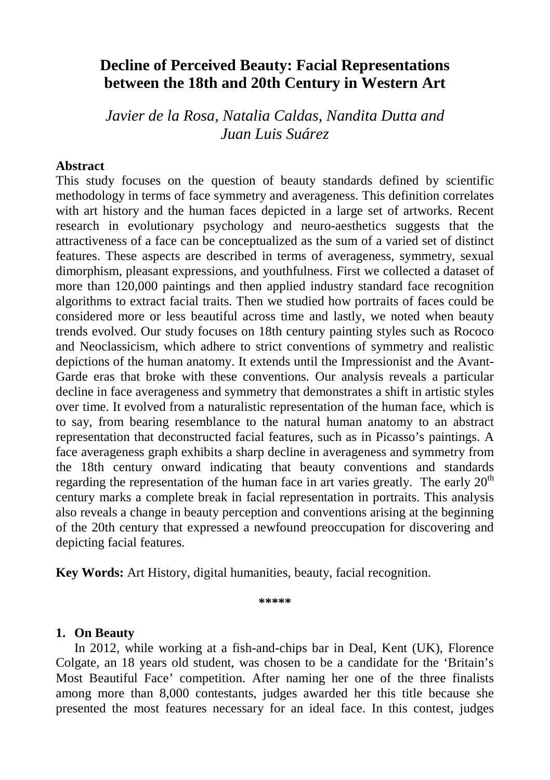## **Decline of Perceived Beauty: Facial Representations between the 18th and 20th Century in Western Art**

*Javier de la Rosa, Natalia Caldas, Nandita Dutta and Juan Luis Suárez* 

#### **Abstract**

This study focuses on the question of beauty standards defined by scientific methodology in terms of face symmetry and averageness. This definition correlates with art history and the human faces depicted in a large set of artworks. Recent research in evolutionary psychology and neuro-aesthetics suggests that the attractiveness of a face can be conceptualized as the sum of a varied set of distinct features. These aspects are described in terms of averageness, symmetry, sexual dimorphism, pleasant expressions, and youthfulness. First we collected a dataset of more than 120,000 paintings and then applied industry standard face recognition algorithms to extract facial traits. Then we studied how portraits of faces could be considered more or less beautiful across time and lastly, we noted when beauty trends evolved. Our study focuses on 18th century painting styles such as Rococo and Neoclassicism, which adhere to strict conventions of symmetry and realistic depictions of the human anatomy. It extends until the Impressionist and the Avant-Garde eras that broke with these conventions. Our analysis reveals a particular decline in face averageness and symmetry that demonstrates a shift in artistic styles over time. It evolved from a naturalistic representation of the human face, which is to say, from bearing resemblance to the natural human anatomy to an abstract representation that deconstructed facial features, such as in Picasso's paintings. A face averageness graph exhibits a sharp decline in averageness and symmetry from the 18th century onward indicating that beauty conventions and standards regarding the representation of the human face in art varies greatly. The early  $20<sup>th</sup>$ century marks a complete break in facial representation in portraits. This analysis also reveals a change in beauty perception and conventions arising at the beginning of the 20th century that expressed a newfound preoccupation for discovering and depicting facial features.

**Key Words:** Art History, digital humanities, beauty, facial recognition.

**\*\*\*\*\***

## **1. On Beauty**

In 2012, while working at a fish-and-chips bar in Deal, Kent (UK), Florence Colgate, an 18 years old student, was chosen to be a candidate for the 'Britain's Most Beautiful Face' competition. After naming her one of the three finalists among more than 8,000 contestants, judges awarded her this title because she presented the most features necessary for an ideal face. In this contest, judges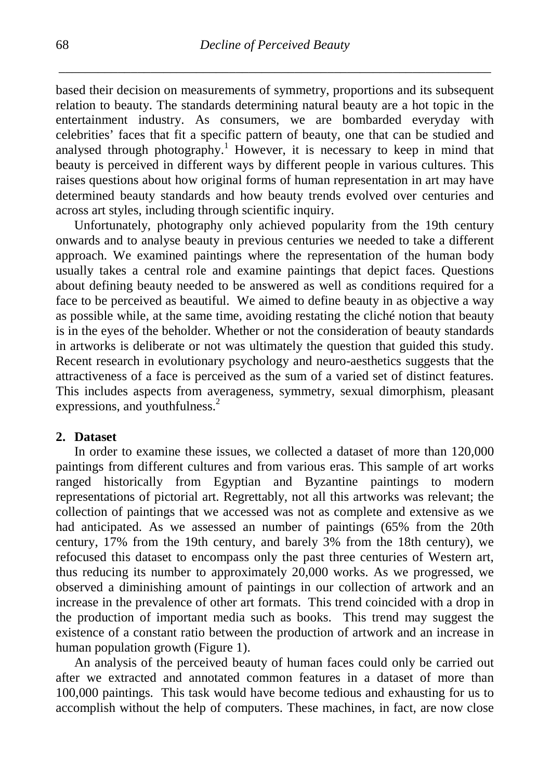based their decision on measurements of symmetry, proportions and its subsequent relation to beauty. The standards determining natural beauty are a hot topic in the entertainment industry. As consumers, we are bombarded everyday with celebrities' faces that fit a specific pattern of beauty, one that can be studied and analysed through photography.<sup>1</sup> However, it is necessary to keep in mind that beauty is perceived in different ways by different people in various cultures. This raises questions about how original forms of human representation in art may have determined beauty standards and how beauty trends evolved over centuries and across art styles, including through scientific inquiry.

Unfortunately, photography only achieved popularity from the 19th century onwards and to analyse beauty in previous centuries we needed to take a different approach. We examined paintings where the representation of the human body usually takes a central role and examine paintings that depict faces. Questions about defining beauty needed to be answered as well as conditions required for a face to be perceived as beautiful. We aimed to define beauty in as objective a way as possible while, at the same time, avoiding restating the cliché notion that beauty is in the eyes of the beholder. Whether or not the consideration of beauty standards in artworks is deliberate or not was ultimately the question that guided this study. Recent research in evolutionary psychology and neuro-aesthetics suggests that the attractiveness of a face is perceived as the sum of a varied set of distinct features. This includes aspects from averageness, symmetry, sexual dimorphism, pleasant expressions, and youthfulness.<sup>2</sup>

### **2. Dataset**

In order to examine these issues, we collected a dataset of more than 120,000 paintings from different cultures and from various eras. This sample of art works ranged historically from Egyptian and Byzantine paintings to modern representations of pictorial art. Regrettably, not all this artworks was relevant; the collection of paintings that we accessed was not as complete and extensive as we had anticipated. As we assessed an number of paintings (65% from the 20th century, 17% from the 19th century, and barely 3% from the 18th century), we refocused this dataset to encompass only the past three centuries of Western art, thus reducing its number to approximately 20,000 works. As we progressed, we observed a diminishing amount of paintings in our collection of artwork and an increase in the prevalence of other art formats. This trend coincided with a drop in the production of important media such as books. This trend may suggest the existence of a constant ratio between the production of artwork and an increase in human population growth (Figure 1).

An analysis of the perceived beauty of human faces could only be carried out after we extracted and annotated common features in a dataset of more than 100,000 paintings. This task would have become tedious and exhausting for us to accomplish without the help of computers. These machines, in fact, are now close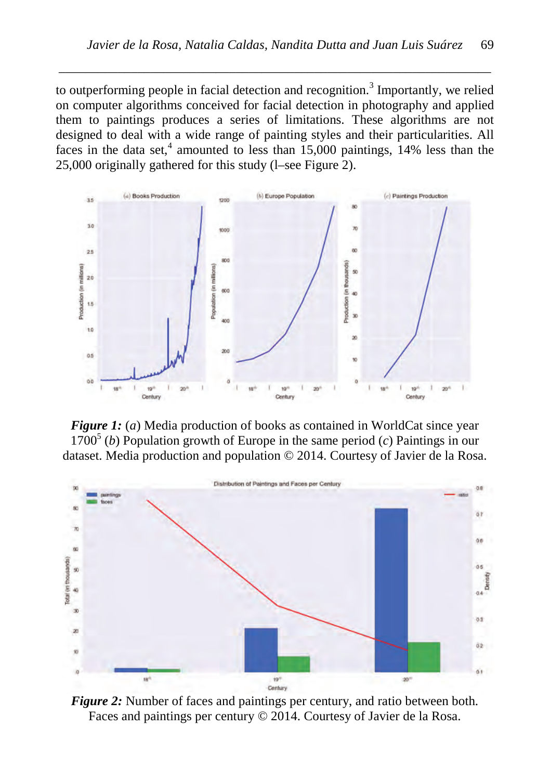to outperforming people in facial detection and recognition.<sup>3</sup> Importantly, we relied on computer algorithms conceived for facial detection in photography and applied them to paintings produces a series of limitations. These algorithms are not designed to deal with a wide range of painting styles and their particularities. All faces in the data set,<sup>4</sup> amounted to less than  $15,000$  paintings, 14% less than the 25,000 originally gathered for this study (l–see Figure 2).

*\_\_\_\_\_\_\_\_\_\_\_\_\_\_\_\_\_\_\_\_\_\_\_\_\_\_\_\_\_\_\_\_\_\_\_\_\_\_\_\_\_\_\_\_\_\_\_\_\_\_\_\_\_\_\_\_\_\_\_\_\_\_\_\_\_\_*



*Figure 1:* (*a*) Media production of books as contained in WorldCat since year  $1700<sup>5</sup>$  (*b*) Population growth of Europe in the same period (*c*) Paintings in our dataset. Media production and population © 2014. Courtesy of Javier de la Rosa.



*Figure 2:* Number of faces and paintings per century, and ratio between both. Faces and paintings per century © 2014. Courtesy of Javier de la Rosa.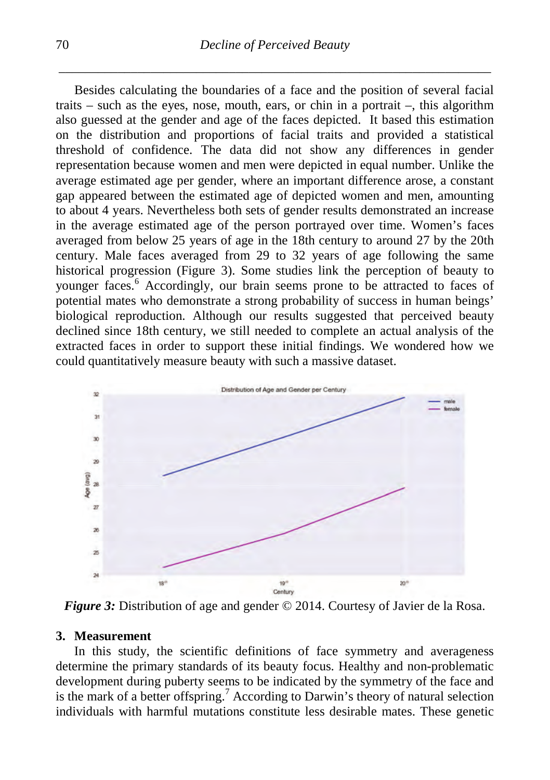Besides calculating the boundaries of a face and the position of several facial traits – such as the eyes, nose, mouth, ears, or chin in a portrait –, this algorithm also guessed at the gender and age of the faces depicted. It based this estimation on the distribution and proportions of facial traits and provided a statistical threshold of confidence. The data did not show any differences in gender representation because women and men were depicted in equal number. Unlike the average estimated age per gender, where an important difference arose, a constant gap appeared between the estimated age of depicted women and men, amounting to about 4 years. Nevertheless both sets of gender results demonstrated an increase in the average estimated age of the person portrayed over time. Women's faces averaged from below 25 years of age in the 18th century to around 27 by the 20th century. Male faces averaged from 29 to 32 years of age following the same historical progression (Figure 3). Some studies link the perception of beauty to younger faces.<sup>6</sup> Accordingly, our brain seems prone to be attracted to faces of potential mates who demonstrate a strong probability of success in human beings' biological reproduction. Although our results suggested that perceived beauty declined since 18th century, we still needed to complete an actual analysis of the extracted faces in order to support these initial findings. We wondered how we could quantitatively measure beauty with such a massive dataset.



*Figure 3:* Distribution of age and gender © 2014. Courtesy of Javier de la Rosa.

#### **3. Measurement**

In this study, the scientific definitions of face symmetry and averageness determine the primary standards of its beauty focus. Healthy and non-problematic development during puberty seems to be indicated by the symmetry of the face and is the mark of a better offspring.<sup>7</sup> According to Darwin's theory of natural selection individuals with harmful mutations constitute less desirable mates. These genetic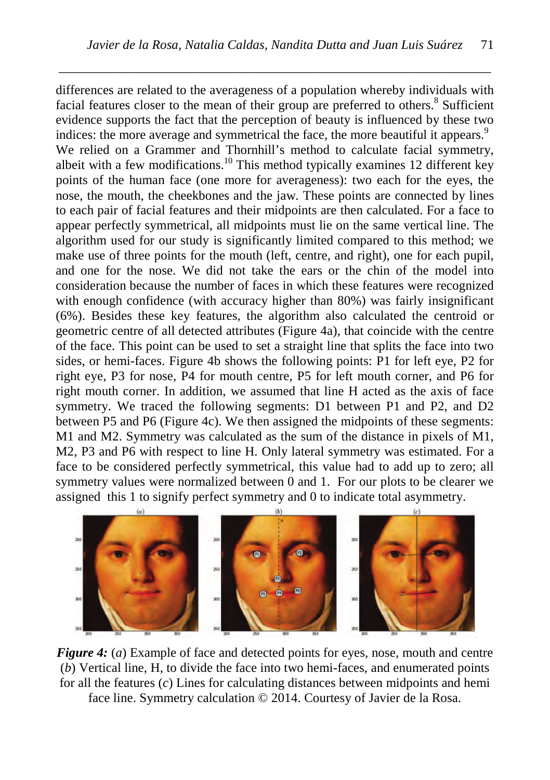*\_\_\_\_\_\_\_\_\_\_\_\_\_\_\_\_\_\_\_\_\_\_\_\_\_\_\_\_\_\_\_\_\_\_\_\_\_\_\_\_\_\_\_\_\_\_\_\_\_\_\_\_\_\_\_\_\_\_\_\_\_\_\_\_\_\_*

differences are related to the averageness of a population whereby individuals with facial features closer to the mean of their group are preferred to others.<sup>8</sup> Sufficient evidence supports the fact that the perception of beauty is influenced by these two indices: the more average and symmetrical the face, the more beautiful it appears.<sup>9</sup> We relied on a Grammer and Thornhill's method to calculate facial symmetry, albeit with a few modifications.<sup>10</sup> This method typically examines 12 different key points of the human face (one more for averageness): two each for the eyes, the nose, the mouth, the cheekbones and the jaw. These points are connected by lines to each pair of facial features and their midpoints are then calculated. For a face to appear perfectly symmetrical, all midpoints must lie on the same vertical line. The algorithm used for our study is significantly limited compared to this method; we make use of three points for the mouth (left, centre, and right), one for each pupil, and one for the nose. We did not take the ears or the chin of the model into consideration because the number of faces in which these features were recognized with enough confidence (with accuracy higher than 80%) was fairly insignificant (6%). Besides these key features, the algorithm also calculated the centroid or geometric centre of all detected attributes (Figure 4a), that coincide with the centre of the face. This point can be used to set a straight line that splits the face into two sides, or hemi-faces. Figure 4b shows the following points: P1 for left eye, P2 for right eye, P3 for nose, P4 for mouth centre, P5 for left mouth corner, and P6 for right mouth corner. In addition, we assumed that line H acted as the axis of face symmetry. We traced the following segments: D1 between P1 and P2, and D2 between P5 and P6 (Figure 4c). We then assigned the midpoints of these segments: M1 and M2. Symmetry was calculated as the sum of the distance in pixels of M1, M2, P3 and P6 with respect to line H. Only lateral symmetry was estimated. For a face to be considered perfectly symmetrical, this value had to add up to zero; all symmetry values were normalized between 0 and 1. For our plots to be clearer we assigned this 1 to signify perfect symmetry and 0 to indicate total asymmetry.



*Figure 4:* (*a*) Example of face and detected points for eyes, nose, mouth and centre (*b*) Vertical line, H, to divide the face into two hemi-faces, and enumerated points for all the features (*c*) Lines for calculating distances between midpoints and hemi face line. Symmetry calculation © 2014. Courtesy of Javier de la Rosa.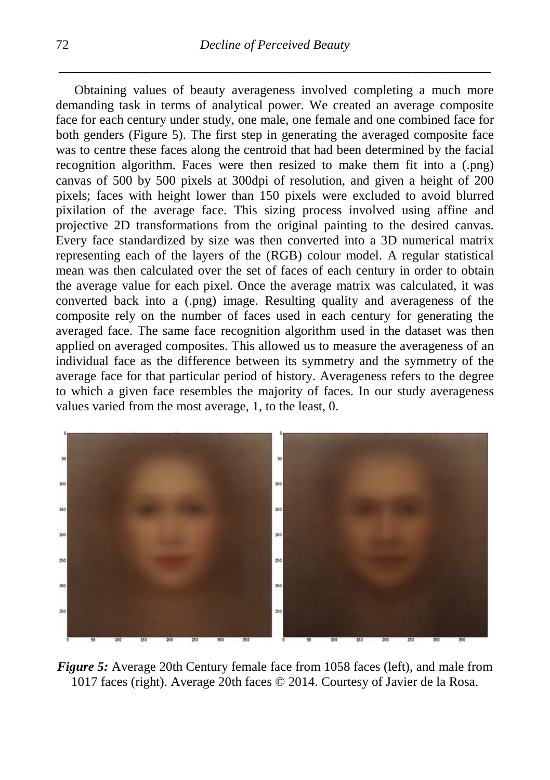Obtaining values of beauty averageness involved completing a much more demanding task in terms of analytical power. We created an average composite face for each century under study, one male, one female and one combined face for both genders (Figure 5). The first step in generating the averaged composite face was to centre these faces along the centroid that had been determined by the facial recognition algorithm. Faces were then resized to make them fit into a (.png) canvas of 500 by 500 pixels at 300dpi of resolution, and given a height of 200 pixels; faces with height lower than 150 pixels were excluded to avoid blurred pixilation of the average face. This sizing process involved using affine and projective 2D transformations from the original painting to the desired canvas. Every face standardized by size was then converted into a 3D numerical matrix representing each of the layers of the (RGB) colour model. A regular statistical mean was then calculated over the set of faces of each century in order to obtain the average value for each pixel. Once the average matrix was calculated, it was converted back into a (.png) image. Resulting quality and averageness of the composite rely on the number of faces used in each century for generating the averaged face. The same face recognition algorithm used in the dataset was then applied on averaged composites. This allowed us to measure the averageness of an individual face as the difference between its symmetry and the symmetry of the average face for that particular period of history. Averageness refers to the degree to which a given face resembles the majority of faces. In our study averageness values varied from the most average, 1, to the least, 0.



*Figure 5:* Average 20th Century female face from 1058 faces (left), and male from 1017 faces (right). Average 20th faces © 2014. Courtesy of Javier de la Rosa.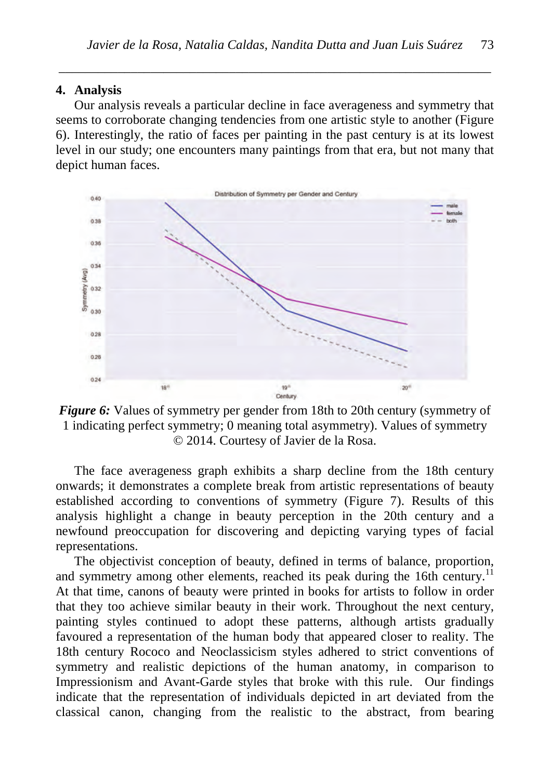#### **4. Analysis**

Our analysis reveals a particular decline in face averageness and symmetry that seems to corroborate changing tendencies from one artistic style to another (Figure 6). Interestingly, the ratio of faces per painting in the past century is at its lowest level in our study; one encounters many paintings from that era, but not many that depict human faces.

*\_\_\_\_\_\_\_\_\_\_\_\_\_\_\_\_\_\_\_\_\_\_\_\_\_\_\_\_\_\_\_\_\_\_\_\_\_\_\_\_\_\_\_\_\_\_\_\_\_\_\_\_\_\_\_\_\_\_\_\_\_\_\_\_\_\_*





The face averageness graph exhibits a sharp decline from the 18th century onwards; it demonstrates a complete break from artistic representations of beauty established according to conventions of symmetry (Figure 7). Results of this analysis highlight a change in beauty perception in the 20th century and a newfound preoccupation for discovering and depicting varying types of facial representations.

The objectivist conception of beauty, defined in terms of balance, proportion, and symmetry among other elements, reached its peak during the 16th century.<sup>11</sup> At that time, canons of beauty were printed in books for artists to follow in order that they too achieve similar beauty in their work. Throughout the next century, painting styles continued to adopt these patterns, although artists gradually favoured a representation of the human body that appeared closer to reality. The 18th century Rococo and Neoclassicism styles adhered to strict conventions of symmetry and realistic depictions of the human anatomy, in comparison to Impressionism and Avant-Garde styles that broke with this rule. Our findings indicate that the representation of individuals depicted in art deviated from the classical canon, changing from the realistic to the abstract, from bearing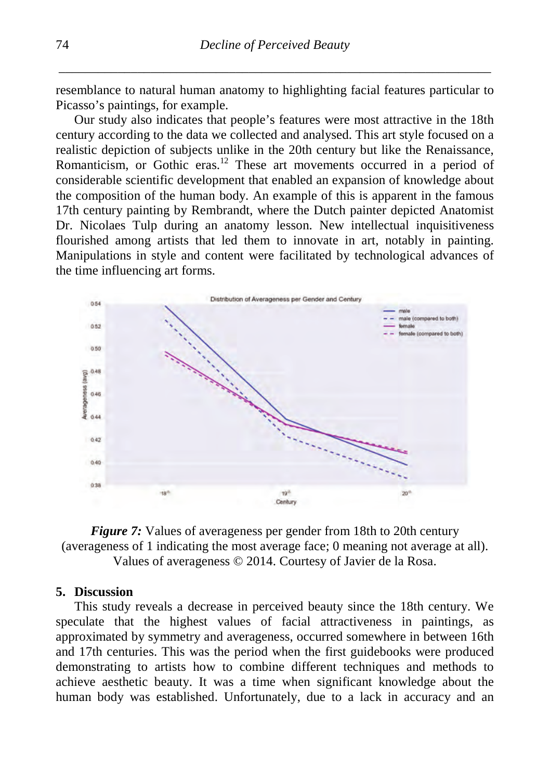resemblance to natural human anatomy to highlighting facial features particular to Picasso's paintings, for example.

Our study also indicates that people's features were most attractive in the 18th century according to the data we collected and analysed. This art style focused on a realistic depiction of subjects unlike in the 20th century but like the Renaissance, Romanticism, or Gothic eras.<sup>12</sup> These art movements occurred in a period of considerable scientific development that enabled an expansion of knowledge about the composition of the human body. An example of this is apparent in the famous 17th century painting by Rembrandt, where the Dutch painter depicted Anatomist Dr. Nicolaes Tulp during an anatomy lesson. New intellectual inquisitiveness flourished among artists that led them to innovate in art, notably in painting. Manipulations in style and content were facilitated by technological advances of the time influencing art forms.



*Figure 7:* Values of averageness per gender from 18th to 20th century (averageness of 1 indicating the most average face; 0 meaning not average at all). Values of averageness © 2014. Courtesy of Javier de la Rosa.

#### **5. Discussion**

This study reveals a decrease in perceived beauty since the 18th century. We speculate that the highest values of facial attractiveness in paintings, as approximated by symmetry and averageness, occurred somewhere in between 16th and 17th centuries. This was the period when the first guidebooks were produced demonstrating to artists how to combine different techniques and methods to achieve aesthetic beauty. It was a time when significant knowledge about the human body was established. Unfortunately, due to a lack in accuracy and an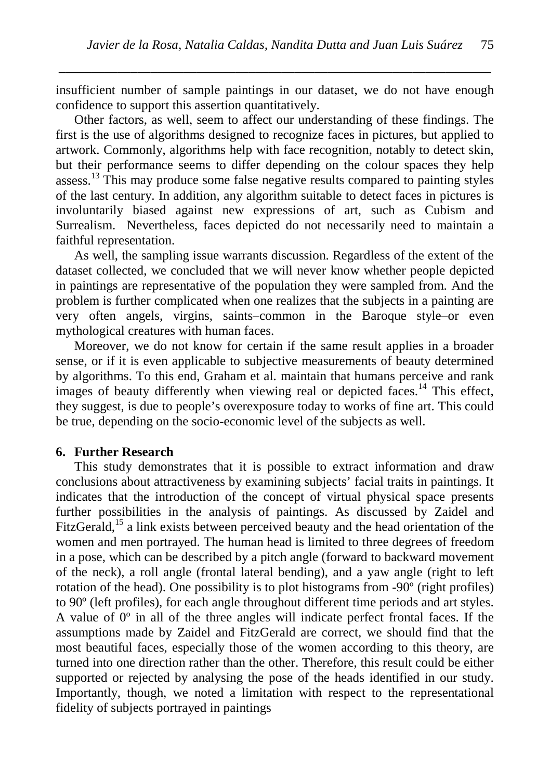insufficient number of sample paintings in our dataset, we do not have enough confidence to support this assertion quantitatively.

*\_\_\_\_\_\_\_\_\_\_\_\_\_\_\_\_\_\_\_\_\_\_\_\_\_\_\_\_\_\_\_\_\_\_\_\_\_\_\_\_\_\_\_\_\_\_\_\_\_\_\_\_\_\_\_\_\_\_\_\_\_\_\_\_\_\_*

Other factors, as well, seem to affect our understanding of these findings. The first is the use of algorithms designed to recognize faces in pictures, but applied to artwork. Commonly, algorithms help with face recognition, notably to detect skin, but their performance seems to differ depending on the colour spaces they help assess.<sup>13</sup> This may produce some false negative results compared to painting styles of the last century. In addition, any algorithm suitable to detect faces in pictures is involuntarily biased against new expressions of art, such as Cubism and Surrealism. Nevertheless, faces depicted do not necessarily need to maintain a faithful representation.

As well, the sampling issue warrants discussion. Regardless of the extent of the dataset collected, we concluded that we will never know whether people depicted in paintings are representative of the population they were sampled from. And the problem is further complicated when one realizes that the subjects in a painting are very often angels, virgins, saints–common in the Baroque style–or even mythological creatures with human faces.

Moreover, we do not know for certain if the same result applies in a broader sense, or if it is even applicable to subjective measurements of beauty determined by algorithms. To this end, Graham et al. maintain that humans perceive and rank images of beauty differently when viewing real or depicted faces.<sup>14</sup> This effect, they suggest, is due to people's overexposure today to works of fine art. This could be true, depending on the socio-economic level of the subjects as well.

#### **6. Further Research**

This study demonstrates that it is possible to extract information and draw conclusions about attractiveness by examining subjects' facial traits in paintings. It indicates that the introduction of the concept of virtual physical space presents further possibilities in the analysis of paintings. As discussed by Zaidel and FitzGerald,<sup>15</sup> a link exists between perceived beauty and the head orientation of the women and men portrayed. The human head is limited to three degrees of freedom in a pose, which can be described by a pitch angle (forward to backward movement of the neck), a roll angle (frontal lateral bending), and a yaw angle (right to left rotation of the head). One possibility is to plot histograms from -90º (right profiles) to 90º (left profiles), for each angle throughout different time periods and art styles. A value of 0º in all of the three angles will indicate perfect frontal faces. If the assumptions made by Zaidel and FitzGerald are correct, we should find that the most beautiful faces, especially those of the women according to this theory, are turned into one direction rather than the other. Therefore, this result could be either supported or rejected by analysing the pose of the heads identified in our study. Importantly, though, we noted a limitation with respect to the representational fidelity of subjects portrayed in paintings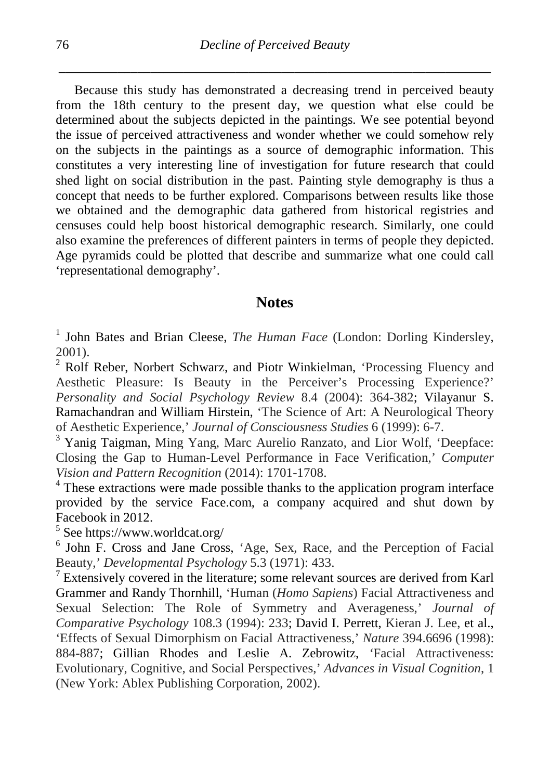Because this study has demonstrated a decreasing trend in perceived beauty from the 18th century to the present day, we question what else could be determined about the subjects depicted in the paintings. We see potential beyond the issue of perceived attractiveness and wonder whether we could somehow rely on the subjects in the paintings as a source of demographic information. This constitutes a very interesting line of investigation for future research that could shed light on social distribution in the past. Painting style demography is thus a concept that needs to be further explored. Comparisons between results like those we obtained and the demographic data gathered from historical registries and censuses could help boost historical demographic research. Similarly, one could also examine the preferences of different painters in terms of people they depicted. Age pyramids could be plotted that describe and summarize what one could call 'representational demography'.

## **Notes**

<sup>1</sup> John Bates and Brian Cleese, *The Human Face* (London: Dorling Kindersley, 2001).<br><sup>2</sup> Rolf Reber, Norbert Schwarz, and Piotr Winkielman, 'Processing Fluency and

Aesthetic Pleasure: Is Beauty in the Perceiver's Processing Experience?' *Personality and Social Psychology Review* 8.4 (2004): 364-382; Vilayanur S. Ramachandran and William Hirstein, 'The Science of Art: A Neurological Theory of Aesthetic Experience.' Journal of Consciousness Studies 6 (1999): 6-7.

<sup>3</sup> Yanig Taigman, Ming Yang, Marc Aurelio Ranzato, and Lior Wolf, 'Deepface: Closing the Gap to Human-Level Performance in Face Verification,' *Computer Vision and Pattern Recognition* (2014): 1701-1708.<br><sup>4</sup> These extractions were made possible thanks to the application program interface

provided by the service Face.com, a company acquired and shut down by Facebook in 2012.

<sup>5</sup> See https://www.worldcat.org/<br>
<sup>6</sup> John F. Cross and Jane Cross, 'Age, Sex, Race, and the Perception of Facial Beauty,' *Developmental Psychology* 5.3 (1971): 433.

<sup>7</sup> Extensively covered in the literature; some relevant sources are derived from Karl Grammer and Randy Thornhill, 'Human (*Homo Sapiens*) Facial Attractiveness and Sexual Selection: The Role of Symmetry and Averageness,' *Journal of Comparative Psychology* 108.3 (1994): 233; David I. Perrett, Kieran J. Lee, et al., 'Effects of Sexual Dimorphism on Facial Attractiveness,' *Nature* 394.6696 (1998): 884-887; Gillian Rhodes and Leslie A. Zebrowitz, *'*Facial Attractiveness: Evolutionary, Cognitive, and Social Perspectives,' *Advances in Visual Cognition*, 1 (New York: Ablex Publishing Corporation, 2002).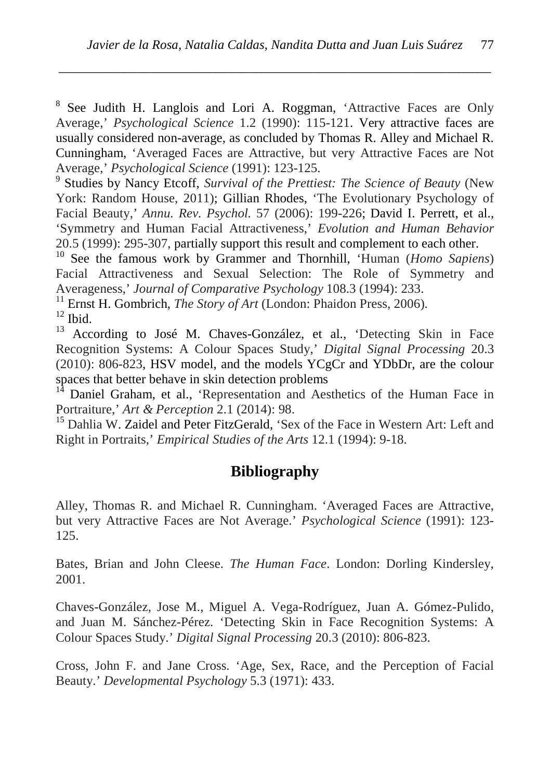<sup>8</sup> See Judith H. Langlois and Lori A. Roggman, 'Attractive Faces are Only Average,' *Psychological Science* 1.2 (1990): 115-121. Very attractive faces are usually considered non-average, as concluded by Thomas R. Alley and Michael R. Cunningham, 'Averaged Faces are Attractive, but very Attractive Faces are Not

*\_\_\_\_\_\_\_\_\_\_\_\_\_\_\_\_\_\_\_\_\_\_\_\_\_\_\_\_\_\_\_\_\_\_\_\_\_\_\_\_\_\_\_\_\_\_\_\_\_\_\_\_\_\_\_\_\_\_\_\_\_\_\_\_\_\_*

Average,' *Psychological Science* (1991): 123-125. <sup>9</sup> Studies by Nancy Etcoff, *Survival of the Prettiest: The Science of Beauty* (New York: Random House, 2011); Gillian Rhodes, 'The Evolutionary Psychology of Facial Beauty,' *Annu. Rev. Psychol.* 57 (2006): 199-226; David I. Perrett, et al., 'Symmetry and Human Facial Attractiveness,' *Evolution and Human Behavior*

<sup>10</sup> See the famous work by Grammer and Thornhill, 'Human (*Homo Sapiens*) Facial Attractiveness and Sexual Selection: The Role of Symmetry and Averageness.' Journal of Comparative Psychology 108.3 (1994): 233.

<sup>11</sup> Ernst H. Gombrich, *The Story of Art* (London: Phaidon Press, 2006).<br><sup>12</sup> Ibid.<br><sup>13</sup> According to José M. Chaves-González, et al., 'Detecting Skin in Face

Recognition Systems: A Colour Spaces Study,' *Digital Signal Processing* 20.3 (2010): 806-823, HSV model, and the models YCgCr and YDbDr, are the colour

<sup>14</sup> Daniel Graham, et al., 'Representation and Aesthetics of the Human Face in Portraiture.' *Art & Perception* 2.1 (2014): 98.

<sup>15</sup> Dahlia W. Zaidel and Peter FitzGerald, 'Sex of the Face in Western Art: Left and Right in Portraits,' *Empirical Studies of the Arts* 12.1 (1994): 9-18.

# **Bibliography**

Alley, Thomas R. and Michael R. Cunningham. 'Averaged Faces are Attractive, but very Attractive Faces are Not Average.' *Psychological Science* (1991): 123- 125.

Bates, Brian and John Cleese. *The Human Face*. London: Dorling Kindersley, 2001.

Chaves-González, Jose M., Miguel A. Vega-Rodríguez, Juan A. Gómez-Pulido, and Juan M. Sánchez-Pérez. 'Detecting Skin in Face Recognition Systems: A Colour Spaces Study.' *Digital Signal Processing* 20.3 (2010): 806-823.

Cross, John F. and Jane Cross. 'Age, Sex, Race, and the Perception of Facial Beauty.' *Developmental Psychology* 5.3 (1971): 433.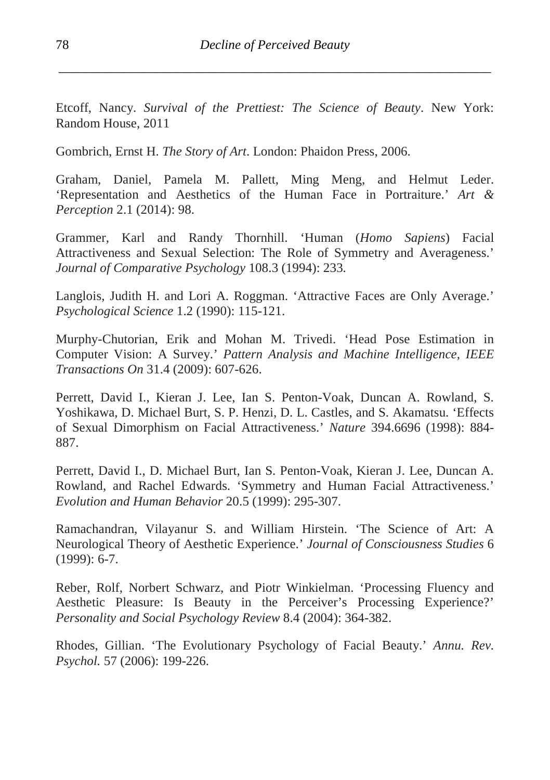Etcoff, Nancy. *Survival of the Prettiest: The Science of Beauty*. New York: Random House, 2011

Gombrich, Ernst H. *The Story of Art*. London: Phaidon Press, 2006.

Graham, Daniel, Pamela M. Pallett, Ming Meng, and Helmut Leder. 'Representation and Aesthetics of the Human Face in Portraiture.' *Art & Perception* 2.1 (2014): 98.

Grammer, Karl and Randy Thornhill. 'Human (*Homo Sapiens*) Facial Attractiveness and Sexual Selection: The Role of Symmetry and Averageness.' *Journal of Comparative Psychology* 108.3 (1994): 233.

Langlois, Judith H. and Lori A. Roggman. 'Attractive Faces are Only Average.' *Psychological Science* 1.2 (1990): 115-121.

Murphy-Chutorian, Erik and Mohan M. Trivedi. 'Head Pose Estimation in Computer Vision: A Survey.' *Pattern Analysis and Machine Intelligence, IEEE Transactions On* 31.4 (2009): 607-626.

Perrett, David I., Kieran J. Lee, Ian S. Penton-Voak, Duncan A. Rowland, S. Yoshikawa, D. Michael Burt, S. P. Henzi, D. L. Castles, and S. Akamatsu. 'Effects of Sexual Dimorphism on Facial Attractiveness.' *Nature* 394.6696 (1998): 884- 887.

Perrett, David I., D. Michael Burt, Ian S. Penton-Voak, Kieran J. Lee, Duncan A. Rowland, and Rachel Edwards. 'Symmetry and Human Facial Attractiveness.' *Evolution and Human Behavior* 20.5 (1999): 295-307.

Ramachandran, Vilayanur S. and William Hirstein. 'The Science of Art: A Neurological Theory of Aesthetic Experience.' *Journal of Consciousness Studies* 6 (1999): 6-7.

Reber, Rolf, Norbert Schwarz, and Piotr Winkielman. 'Processing Fluency and Aesthetic Pleasure: Is Beauty in the Perceiver's Processing Experience?' *Personality and Social Psychology Review* 8.4 (2004): 364-382.

Rhodes, Gillian. 'The Evolutionary Psychology of Facial Beauty.' *Annu. Rev. Psychol.* 57 (2006): 199-226.